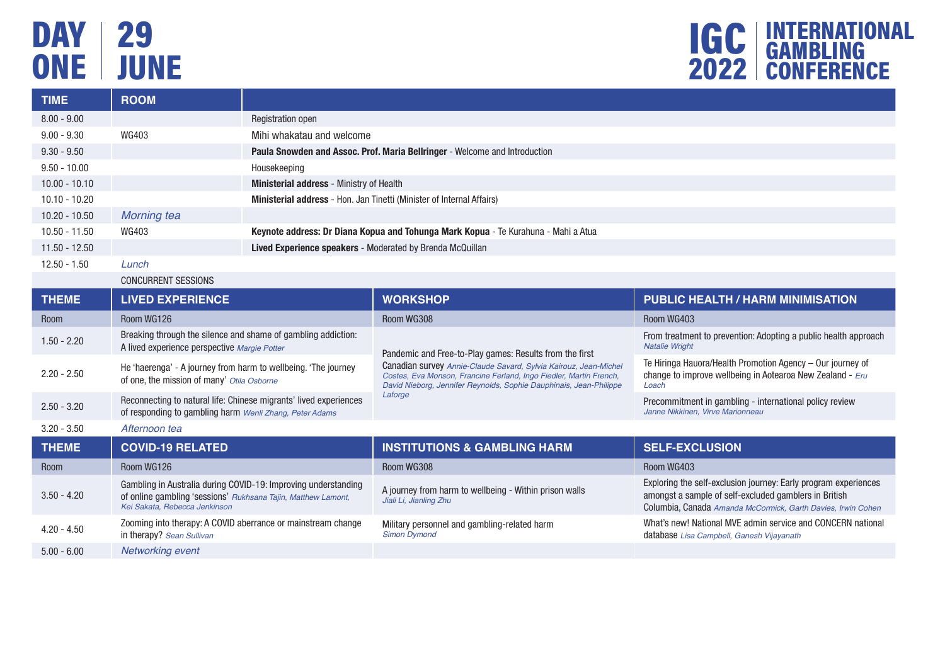# DAY | 29 ONE JUNE



| <b>TIME</b>     | <b>ROOM</b>        |                                                                                    |
|-----------------|--------------------|------------------------------------------------------------------------------------|
| $8.00 - 9.00$   |                    | Registration open                                                                  |
| $9.00 - 9.30$   | WG403              | Mihi whakatau and welcome                                                          |
| $9.30 - 9.50$   |                    | Paula Snowden and Assoc. Prof. Maria Bellringer - Welcome and Introduction         |
| $9.50 - 10.00$  |                    | Housekeeping                                                                       |
| $10.00 - 10.10$ |                    | <b>Ministerial address</b> - Ministry of Health                                    |
| $10.10 - 10.20$ |                    | <b>Ministerial address</b> - Hon. Jan Tinetti (Minister of Internal Affairs)       |
| $10.20 - 10.50$ | <b>Morning tea</b> |                                                                                    |
| 10.50 - 11.50   | WG403              | Keynote address: Dr Diana Kopua and Tohunga Mark Kopua - Te Kurahuna - Mahi a Atua |
| $11.50 - 12.50$ |                    | Lived Experience speakers - Moderated by Brenda McQuillan                          |
| $12.50 - 1.50$  | Lunch              |                                                                                    |

### CONCURRENT SESSIONS

| <b>THEME</b>  | <b>LIVED EXPERIENCE</b>                                                                                                                                          | <b>WORKSHOP</b>                                                                                                                                                                                              | <b>PUBLIC HEALTH / HARM MINIMISATION</b>                                                                                                                                                 |  |
|---------------|------------------------------------------------------------------------------------------------------------------------------------------------------------------|--------------------------------------------------------------------------------------------------------------------------------------------------------------------------------------------------------------|------------------------------------------------------------------------------------------------------------------------------------------------------------------------------------------|--|
| Room          | Room WG126                                                                                                                                                       | Room WG308                                                                                                                                                                                                   | Room WG403                                                                                                                                                                               |  |
| $1.50 - 2.20$ | Breaking through the silence and shame of gambling addiction:<br>A lived experience perspective Margie Potter                                                    | Pandemic and Free-to-Play games: Results from the first                                                                                                                                                      | From treatment to prevention: Adopting a public health approach<br><b>Natalie Wright</b>                                                                                                 |  |
| $2.20 - 2.50$ | He 'haerenga' - A journey from harm to wellbeing. 'The journey<br>of one, the mission of many' Otila Osborne                                                     | Canadian survey Annie-Claude Savard, Sylvia Kairouz, Jean-Michel<br>Costes, Eva Monson, Francine Ferland, Ingo Fiedler, Martin French,<br>David Nieborg, Jennifer Reynolds, Sophie Dauphinais, Jean-Philippe | Te Hiringa Hauora/Health Promotion Agency - Our journey of<br>change to improve wellbeing in Aotearoa New Zealand - $Eru$<br>Loach                                                       |  |
| $2.50 - 3.20$ | Reconnecting to natural life: Chinese migrants' lived experiences<br>of responding to gambling harm Wenli Zhang, Peter Adams                                     | Laforge                                                                                                                                                                                                      | Precommitment in gambling - international policy review<br>Janne Nikkinen, Virve Marionneau                                                                                              |  |
| $3.20 - 3.50$ | Afternoon tea                                                                                                                                                    |                                                                                                                                                                                                              |                                                                                                                                                                                          |  |
|               |                                                                                                                                                                  |                                                                                                                                                                                                              |                                                                                                                                                                                          |  |
| <b>THEME</b>  | <b>COVID-19 RELATED</b>                                                                                                                                          | <b>INSTITUTIONS &amp; GAMBLING HARM</b>                                                                                                                                                                      | <b>SELF-EXCLUSION</b>                                                                                                                                                                    |  |
| Room          | Room WG126                                                                                                                                                       | Room WG308                                                                                                                                                                                                   | Room WG403                                                                                                                                                                               |  |
| $3.50 - 4.20$ | Gambling in Australia during COVID-19: Improving understanding<br>of online gambling 'sessions' Rukhsana Tajin, Matthew Lamont,<br>Kei Sakata, Rebecca Jenkinson | A journey from harm to wellbeing - Within prison walls<br>Jiali Li, Jianling Zhu                                                                                                                             | Exploring the self-exclusion journey: Early program experiences<br>amongst a sample of self-excluded gamblers in British<br>Columbia, Canada Amanda McCormick, Garth Davies, Irwin Cohen |  |
| $4.20 - 4.50$ | Zooming into therapy: A COVID aberrance or mainstream change<br>in therapy? Sean Sullivan                                                                        | Military personnel and gambling-related harm<br><b>Simon Dymond</b>                                                                                                                                          | What's new! National MVE admin service and CONCERN national<br>database Lisa Campbell, Ganesh Vijayanath                                                                                 |  |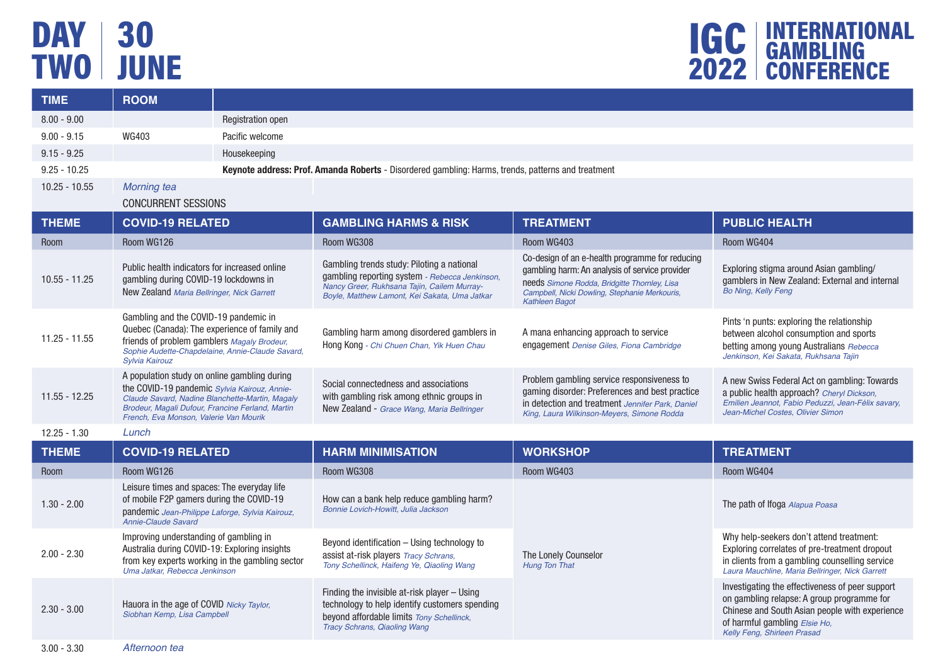# DAY | 30 TWO JUNE



| <b>TIME</b>     | <b>ROOM</b>                                                                                                                                                                                                                                   |                          |                                                                                                                                                                                              |                                                                                                                                                                                                                             |                                                                                                                                                                                                                 |
|-----------------|-----------------------------------------------------------------------------------------------------------------------------------------------------------------------------------------------------------------------------------------------|--------------------------|----------------------------------------------------------------------------------------------------------------------------------------------------------------------------------------------|-----------------------------------------------------------------------------------------------------------------------------------------------------------------------------------------------------------------------------|-----------------------------------------------------------------------------------------------------------------------------------------------------------------------------------------------------------------|
| $8.00 - 9.00$   |                                                                                                                                                                                                                                               | <b>Registration open</b> |                                                                                                                                                                                              |                                                                                                                                                                                                                             |                                                                                                                                                                                                                 |
| $9.00 - 9.15$   | WG403                                                                                                                                                                                                                                         | Pacific welcome          |                                                                                                                                                                                              |                                                                                                                                                                                                                             |                                                                                                                                                                                                                 |
| $9.15 - 9.25$   |                                                                                                                                                                                                                                               | Housekeeping             |                                                                                                                                                                                              |                                                                                                                                                                                                                             |                                                                                                                                                                                                                 |
| $9.25 - 10.25$  | Keynote address: Prof. Amanda Roberts - Disordered gambling: Harms, trends, patterns and treatment                                                                                                                                            |                          |                                                                                                                                                                                              |                                                                                                                                                                                                                             |                                                                                                                                                                                                                 |
| $10.25 - 10.55$ | <b>Morning tea</b>                                                                                                                                                                                                                            |                          |                                                                                                                                                                                              |                                                                                                                                                                                                                             |                                                                                                                                                                                                                 |
|                 | <b>CONCURRENT SESSIONS</b>                                                                                                                                                                                                                    |                          |                                                                                                                                                                                              |                                                                                                                                                                                                                             |                                                                                                                                                                                                                 |
| <b>THEME</b>    | <b>COVID-19 RELATED</b>                                                                                                                                                                                                                       |                          | <b>GAMBLING HARMS &amp; RISK</b>                                                                                                                                                             | <b>TREATMENT</b>                                                                                                                                                                                                            | <b>PUBLIC HEALTH</b>                                                                                                                                                                                            |
| <b>Room</b>     | Room WG126                                                                                                                                                                                                                                    |                          | Room WG308                                                                                                                                                                                   | Room WG403                                                                                                                                                                                                                  | Room WG404                                                                                                                                                                                                      |
| $10.55 - 11.25$ | Public health indicators for increased online<br>gambling during COVID-19 lockdowns in<br>New Zealand Maria Bellringer, Nick Garrett                                                                                                          |                          | Gambling trends study: Piloting a national<br>gambling reporting system - Rebecca Jenkinson,<br>Nancy Greer, Rukhsana Tajin, Cailem Murray-<br>Boyle, Matthew Lamont, Kei Sakata, Uma Jatkar | Co-design of an e-health programme for reducing<br>gambling harm: An analysis of service provider<br>needs Simone Rodda, Bridgitte Thornley, Lisa<br>Campbell, Nicki Dowling, Stephanie Merkouris,<br><b>Kathleen Bagot</b> | Exploring stigma around Asian gambling/<br>gamblers in New Zealand: External and internal<br><b>Bo Ning, Kelly Feng</b>                                                                                         |
| $11.25 - 11.55$ | Gambling and the COVID-19 pandemic in<br>Quebec (Canada): The experience of family and<br>friends of problem gamblers Magaly Brodeur.<br>Sophie Audette-Chapdelaine, Annie-Claude Savard,<br>Sylvia Kairouz                                   |                          | Gambling harm among disordered gamblers in<br>Hong Kong - Chi Chuen Chan, Yik Huen Chau                                                                                                      | A mana enhancing approach to service<br>engagement Denise Giles, Fiona Cambridge                                                                                                                                            | Pints 'n punts: exploring the relationship<br>between alcohol consumption and sports<br>betting among young Australians Rebecca<br>Jenkinson, Kei Sakata, Rukhsana Tajin                                        |
| $11.55 - 12.25$ | A population study on online gambling during<br>the COVID-19 pandemic Sylvia Kairouz, Annie-<br>Claude Savard, Nadine Blanchette-Martin, Magaly<br>Brodeur, Magali Dufour, Francine Ferland, Martin<br>French, Eva Monson, Valerie Van Mourik |                          | Social connectedness and associations<br>with gambling risk among ethnic groups in<br>New Zealand - Grace Wang, Maria Bellringer                                                             | Problem gambling service responsiveness to<br>gaming disorder: Preferences and best practice<br>in detection and treatment Jennifer Park, Daniel<br>King, Laura Wilkinson-Meyers, Simone Rodda                              | A new Swiss Federal Act on gambling: Towards<br>a public health approach? Cheryl Dickson.<br>Emilien Jeannot, Fabio Peduzzi, Jean-Félix savary,<br>Jean-Michel Costes, Olivier Simon                            |
| $12.25 - 1.30$  | Lunch                                                                                                                                                                                                                                         |                          |                                                                                                                                                                                              |                                                                                                                                                                                                                             |                                                                                                                                                                                                                 |
| <b>THEME</b>    | <b>COVID-19 RELATED</b>                                                                                                                                                                                                                       |                          | <b>HARM MINIMISATION</b>                                                                                                                                                                     | <b>WORKSHOP</b>                                                                                                                                                                                                             | <b>TREATMENT</b>                                                                                                                                                                                                |
| Room            | Room WG126                                                                                                                                                                                                                                    |                          | Room WG308                                                                                                                                                                                   | Room WG403                                                                                                                                                                                                                  | Room WG404                                                                                                                                                                                                      |
| $1.30 - 2.00$   | Leisure times and spaces: The everyday life<br>of mobile F2P gamers during the COVID-19<br>pandemic Jean-Philippe Laforge, Sylvia Kairouz,<br>Annie-Claude Savard                                                                             |                          | How can a bank help reduce gambling harm?<br>Bonnie Lovich-Howitt, Julia Jackson                                                                                                             |                                                                                                                                                                                                                             | The path of Ifoga Alapua Poasa                                                                                                                                                                                  |
| $2.00 - 2.30$   | Improving understanding of gambling in<br>Australia during COVID-19: Exploring insights<br>from key experts working in the gambling sector<br>Uma Jatkar, Rebecca Jenkinson                                                                   |                          | Beyond identification – Using technology to<br>assist at-risk players Tracy Schrans.<br>Tony Schellinck, Haifeng Ye, Qiaoling Wang                                                           | The Lonely Counselor<br>Hung Ton That                                                                                                                                                                                       | Why help-seekers don't attend treatment:<br>Exploring correlates of pre-treatment dropout<br>in clients from a gambling counselling service<br>Laura Mauchline, Maria Bellringer, Nick Garrett                  |
| $2.30 - 3.00$   | Hauora in the age of COVID Nicky Taylor.<br>Siobhan Kemp, Lisa Campbell                                                                                                                                                                       |                          | Finding the invisible at-risk player – Using<br>technology to help identify customers spending<br>beyond affordable limits Tony Schellinck,<br><b>Tracy Schrans, Qiaoling Wang</b>           |                                                                                                                                                                                                                             | Investigating the effectiveness of peer support<br>on gambling relapse: A group programme for<br>Chinese and South Asian people with experience<br>of harmful gambling Elsie Ho,<br>Kelly Feng, Shirleen Prasad |
| $3.00 - 3.30$   | Afternoon tea                                                                                                                                                                                                                                 |                          |                                                                                                                                                                                              |                                                                                                                                                                                                                             |                                                                                                                                                                                                                 |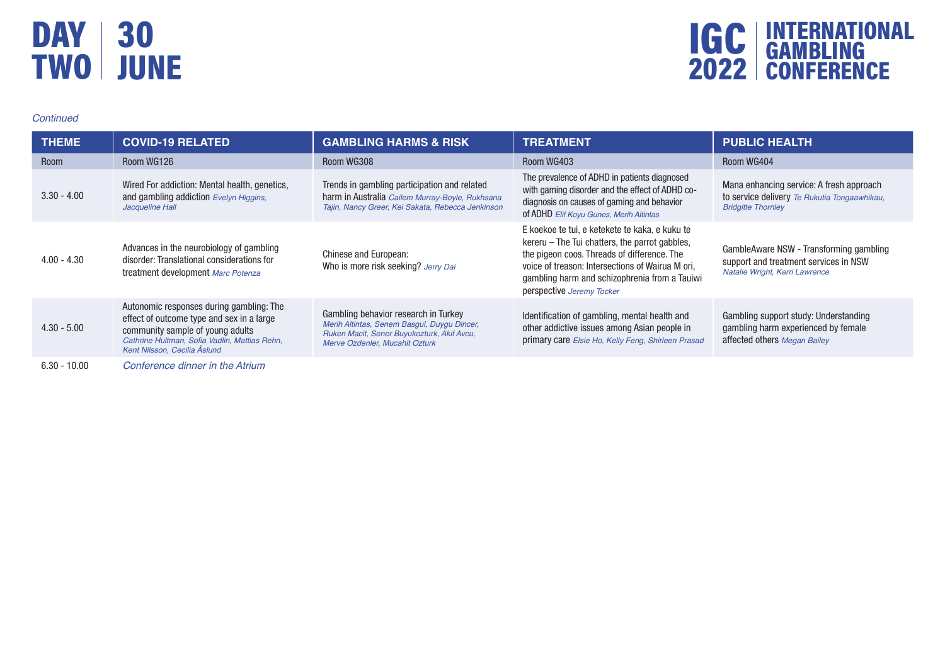### DAY TWO 30 JUNE



#### *Continued*

| <b>THEME</b>   | <b>COVID-19 RELATED</b>                                                                                                                                                                                    | <b>GAMBLING HARMS &amp; RISK</b>                                                                                                                                    | <b>TREATMENT</b>                                                                                                                                                                                                                                                                  | <b>PUBLIC HEALTH</b>                                                                                                  |
|----------------|------------------------------------------------------------------------------------------------------------------------------------------------------------------------------------------------------------|---------------------------------------------------------------------------------------------------------------------------------------------------------------------|-----------------------------------------------------------------------------------------------------------------------------------------------------------------------------------------------------------------------------------------------------------------------------------|-----------------------------------------------------------------------------------------------------------------------|
| Room           | Room WG126                                                                                                                                                                                                 | Room WG308                                                                                                                                                          | Room WG403                                                                                                                                                                                                                                                                        | Room WG404                                                                                                            |
| $3.30 - 4.00$  | Wired For addiction: Mental health, genetics,<br>and gambling addiction Evelyn Higgins,<br>Jacqueline Hall                                                                                                 | Trends in gambling participation and related<br>harm in Australia Cailem Murray-Boyle, Rukhsana<br>Tajin, Nancy Greer, Kei Sakata, Rebecca Jenkinson                | The prevalence of ADHD in patients diagnosed<br>with gaming disorder and the effect of ADHD co-<br>diagnosis on causes of gaming and behavior<br>of ADHD Elif Koyu Gunes, Merih Altintas                                                                                          | Mana enhancing service: A fresh approach<br>to service delivery Te Rukutia Tongaawhikau,<br><b>Bridgitte Thornley</b> |
| $4.00 - 4.30$  | Advances in the neurobiology of gambling<br>disorder: Translational considerations for<br>treatment development Marc Potenza                                                                               | Chinese and European:<br>Who is more risk seeking? Jerry Dai                                                                                                        | E koekoe te tui, e ketekete te kaka, e kuku te<br>kereru - The Tui chatters, the parrot gabbles,<br>the pigeon coos. Threads of difference. The<br>voice of treason: Intersections of Wairua M ori,<br>gambling harm and schizophrenia from a Tauiwi<br>perspective Jeremy Tocker | GambleAware NSW - Transforming gambling<br>support and treatment services in NSW<br>Natalie Wright, Kerri Lawrence    |
| $4.30 - 5.00$  | Autonomic responses during gambling: The<br>effect of outcome type and sex in a large<br>community sample of young adults<br>Cathrine Hultman, Sofia Vadlin, Mattias Rehn,<br>Kent Nilsson, Cecilia Åslund | Gambling behavior research in Turkey<br>Merih Altintas, Senem Basgul, Duygu Dincer,<br>Ruken Macit, Sener Buyukozturk, Akif Avcu,<br>Merve Ozdenler, Mucahit Ozturk | Identification of gambling, mental health and<br>other addictive issues among Asian people in<br>primary care Elsie Ho, Kelly Feng, Shirleen Prasad                                                                                                                               | Gambling support study: Understanding<br>gambling harm experienced by female<br>affected others Megan Bailey          |
| $6.30 - 10.00$ | Conference dinner in the Atrium                                                                                                                                                                            |                                                                                                                                                                     |                                                                                                                                                                                                                                                                                   |                                                                                                                       |